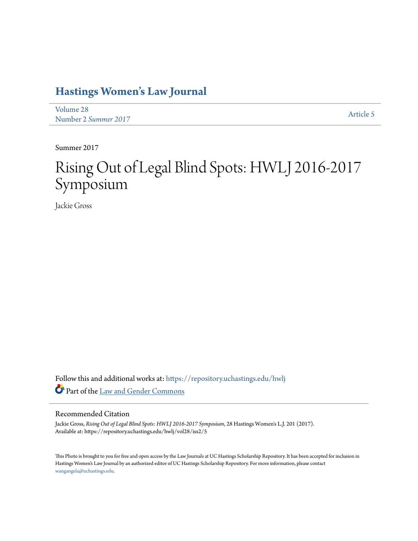## **[Hastings Women's Law Journal](https://repository.uchastings.edu/hwlj?utm_source=repository.uchastings.edu%2Fhwlj%2Fvol28%2Fiss2%2F5&utm_medium=PDF&utm_campaign=PDFCoverPages)**

[Volume 28](https://repository.uchastings.edu/hwlj/vol28?utm_source=repository.uchastings.edu%2Fhwlj%2Fvol28%2Fiss2%2F5&utm_medium=PDF&utm_campaign=PDFCoverPages) Number 2 *[Summer 2017](https://repository.uchastings.edu/hwlj/vol28/iss2?utm_source=repository.uchastings.edu%2Fhwlj%2Fvol28%2Fiss2%2F5&utm_medium=PDF&utm_campaign=PDFCoverPages)* [Article 5](https://repository.uchastings.edu/hwlj/vol28/iss2/5?utm_source=repository.uchastings.edu%2Fhwlj%2Fvol28%2Fiss2%2F5&utm_medium=PDF&utm_campaign=PDFCoverPages)

Summer 2017

## Rising Out of Legal Blind Spots: HWLJ 2016-2017 Symposium

Jackie Gross

Follow this and additional works at: [https://repository.uchastings.edu/hwlj](https://repository.uchastings.edu/hwlj?utm_source=repository.uchastings.edu%2Fhwlj%2Fvol28%2Fiss2%2F5&utm_medium=PDF&utm_campaign=PDFCoverPages) Part of the [Law and Gender Commons](http://network.bepress.com/hgg/discipline/1298?utm_source=repository.uchastings.edu%2Fhwlj%2Fvol28%2Fiss2%2F5&utm_medium=PDF&utm_campaign=PDFCoverPages)

## Recommended Citation

Jackie Gross, *Rising Out of Legal Blind Spots: HWLJ 2016-2017 Symposium*, 28 Hastings Women's L.J. 201 (2017). Available at: https://repository.uchastings.edu/hwlj/vol28/iss2/5

This Photo is brought to you for free and open access by the Law Journals at UC Hastings Scholarship Repository. It has been accepted for inclusion in Hastings Women's Law Journal by an authorized editor of UC Hastings Scholarship Repository. For more information, please contact [wangangela@uchastings.edu](mailto:wangangela@uchastings.edu).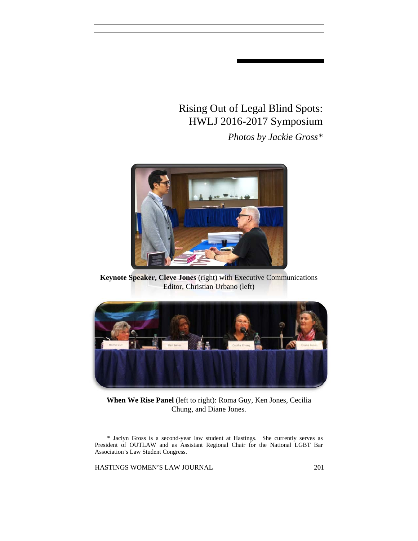## Rising Out of Legal Blind Spots: HWLJ 2016-2017 Symposium *Photos by Jackie Gross\**



**Keynote Speaker, Cleve Jones** (right) with Executive Communications Editor, Christian Urbano (left)



**When We Rise Panel** (left to right): Roma Guy, Ken Jones, Cecilia Chung, and Diane Jones.

HASTINGS WOMEN'S LAW JOURNAL 201

<sup>\*</sup> Jaclyn Gross is a second-year law student at Hastings. She currently serves as President of OUTLAW and as Assistant Regional Chair for the National LGBT Bar Association's Law Student Congress.